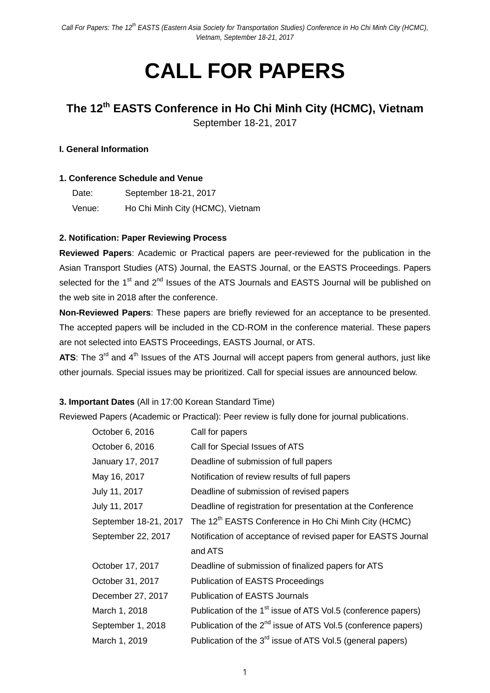# **CALL FOR PAPERS**

# **The 12th EASTS Conference in Ho Chi Minh City (HCMC), Vietnam**

September 18-21, 2017

#### **I. General Information**

#### **1. Conference Schedule and Venue**

| Date:  | September 18-21, 2017            |
|--------|----------------------------------|
| Venue: | Ho Chi Minh City (HCMC), Vietnam |

## **2. Notification: Paper Reviewing Process**

**Reviewed Papers**: Academic or Practical papers are peer-reviewed for the publication in the Asian Transport Studies (ATS) Journal, the EASTS Journal, or the EASTS Proceedings. Papers selected for the 1<sup>st</sup> and 2<sup>nd</sup> Issues of the ATS Journals and EASTS Journal will be published on the web site in 2018 after the conference.

**Non-Reviewed Papers**: These papers are briefly reviewed for an acceptance to be presented. The accepted papers will be included in the CD-ROM in the conference material. These papers are not selected into EASTS Proceedings, EASTS Journal, or ATS.

**ATS**: The 3<sup>rd</sup> and 4<sup>th</sup> Issues of the ATS Journal will accept papers from general authors, just like other journals. Special issues may be prioritized. Call for special issues are announced below.

## **3. Important Dates** (All in 17:00 Korean Standard Time)

Reviewed Papers (Academic or Practical): Peer review is fully done for journal publications.

| October 6, 2016       | Call for papers                                                           |
|-----------------------|---------------------------------------------------------------------------|
| October 6, 2016       | Call for Special Issues of ATS                                            |
| January 17, 2017      | Deadline of submission of full papers                                     |
| May 16, 2017          | Notification of review results of full papers                             |
| July 11, 2017         | Deadline of submission of revised papers                                  |
| July 11, 2017         | Deadline of registration for presentation at the Conference               |
| September 18-21, 2017 | The 12 <sup>th</sup> EASTS Conference in Ho Chi Minh City (HCMC)          |
| September 22, 2017    | Notification of acceptance of revised paper for EASTS Journal             |
|                       | and ATS                                                                   |
| October 17, 2017      | Deadline of submission of finalized papers for ATS                        |
| October 31, 2017      | <b>Publication of EASTS Proceedings</b>                                   |
| December 27, 2017     | <b>Publication of EASTS Journals</b>                                      |
| March 1, 2018         | Publication of the 1 <sup>st</sup> issue of ATS Vol.5 (conference papers) |
| September 1, 2018     | Publication of the $2^{nd}$ issue of ATS Vol.5 (conference papers)        |
| March 1, 2019         | Publication of the 3 <sup>rd</sup> issue of ATS Vol.5 (general papers)    |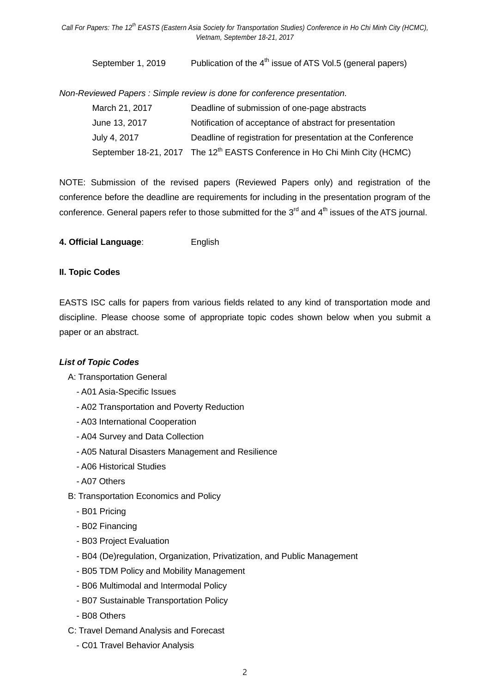September 1, 2019 Publication of the  $4<sup>th</sup>$  issue of ATS Vol.5 (general papers)

*Non-Reviewed Papers : Simple review is done for conference presentation.*

| March 21, 2017 | Deadline of submission of one-page abstracts                                           |
|----------------|----------------------------------------------------------------------------------------|
| June 13, 2017  | Notification of acceptance of abstract for presentation                                |
| July 4, 2017   | Deadline of registration for presentation at the Conference                            |
|                | September 18-21, 2017 The 12 <sup>th</sup> EASTS Conference in Ho Chi Minh City (HCMC) |

NOTE: Submission of the revised papers (Reviewed Papers only) and registration of the conference before the deadline are requirements for including in the presentation program of the conference. General papers refer to those submitted for the  $3<sup>rd</sup>$  and  $4<sup>th</sup>$  issues of the ATS journal.

**4. Official Language**: English

#### **II. Topic Codes**

EASTS ISC calls for papers from various fields related to any kind of transportation mode and discipline. Please choose some of appropriate topic codes shown below when you submit a paper or an abstract.

#### *List of Topic Codes*

A: Transportation General

- A01 Asia-Specific Issues
- A02 Transportation and Poverty Reduction
- A03 International Cooperation
- A04 Survey and Data Collection
- A05 Natural Disasters Management and Resilience
- A06 Historical Studies
- A07 Others
- B: Transportation Economics and Policy
	- B01 Pricing
	- B02 Financing
	- B03 Project Evaluation
	- B04 (De)regulation, Organization, Privatization, and Public Management
	- B05 TDM Policy and Mobility Management
	- B06 Multimodal and Intermodal Policy
	- B07 Sustainable Transportation Policy
	- B08 Others
- C: Travel Demand Analysis and Forecast
	- C01 Travel Behavior Analysis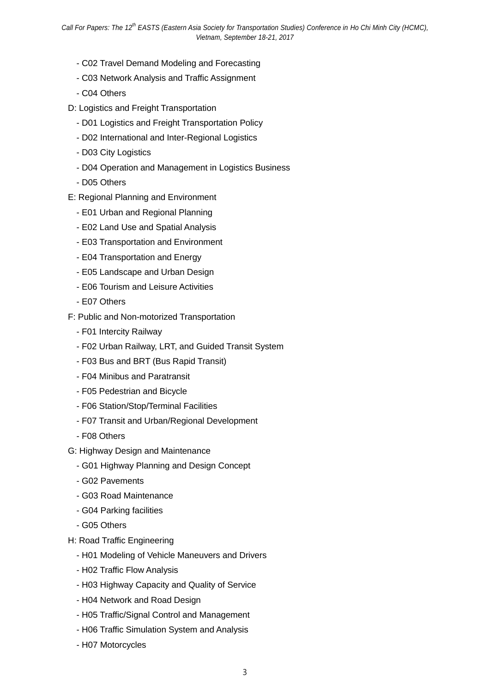- C02 Travel Demand Modeling and Forecasting
- C03 Network Analysis and Traffic Assignment
- C04 Others
- D: Logistics and Freight Transportation
	- D01 Logistics and Freight Transportation Policy
	- D02 International and Inter-Regional Logistics
	- D03 City Logistics
	- D04 Operation and Management in Logistics Business
	- D05 Others
- E: Regional Planning and Environment
	- E01 Urban and Regional Planning
	- E02 Land Use and Spatial Analysis
	- E03 Transportation and Environment
	- E04 Transportation and Energy
	- E05 Landscape and Urban Design
	- E06 Tourism and Leisure Activities
	- E07 Others
- F: Public and Non-motorized Transportation
	- F01 Intercity Railway
	- F02 Urban Railway, LRT, and Guided Transit System
	- F03 Bus and BRT (Bus Rapid Transit)
	- F04 Minibus and Paratransit
	- F05 Pedestrian and Bicycle
	- F06 Station/Stop/Terminal Facilities
	- F07 Transit and Urban/Regional Development
	- F08 Others
- G: Highway Design and Maintenance
	- G01 Highway Planning and Design Concept
	- G02 Pavements
	- G03 Road Maintenance
	- G04 Parking facilities
	- G05 Others
- H: Road Traffic Engineering
	- H01 Modeling of Vehicle Maneuvers and Drivers
	- H02 Traffic Flow Analysis
	- H03 Highway Capacity and Quality of Service
	- H04 Network and Road Design
	- H05 Traffic/Signal Control and Management
	- H06 Traffic Simulation System and Analysis
	- H07 Motorcycles